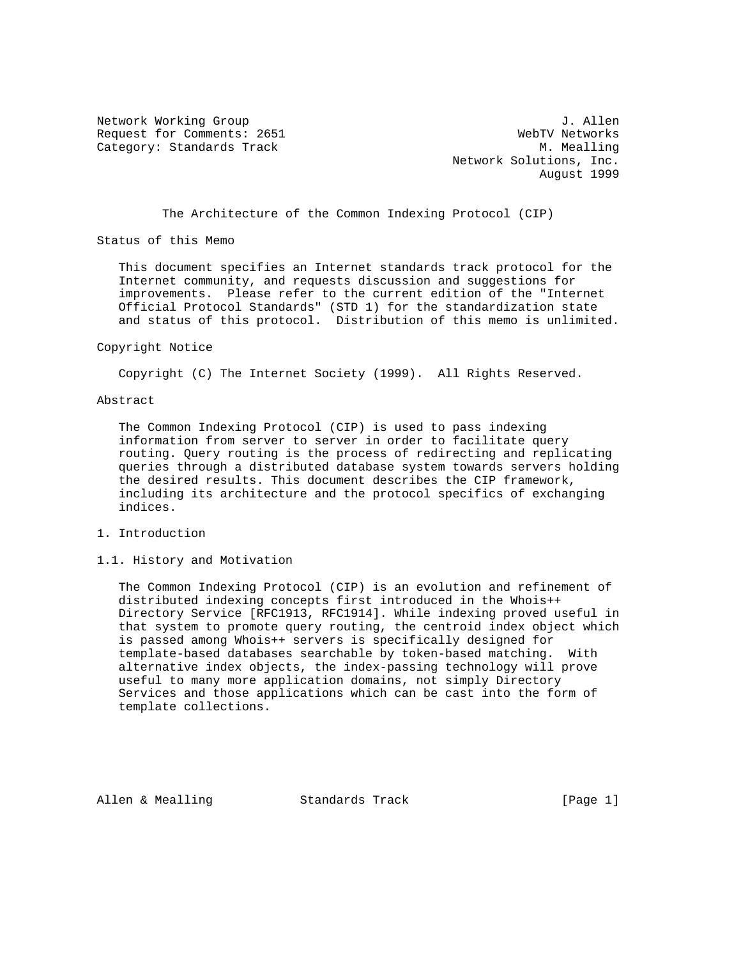Request for Comments: 2651 WebTV Networks Category: Standards Track M. Mealling

Network Working Group 3. Allen Network Solutions, Inc. August 1999

The Architecture of the Common Indexing Protocol (CIP)

Status of this Memo

 This document specifies an Internet standards track protocol for the Internet community, and requests discussion and suggestions for improvements. Please refer to the current edition of the "Internet Official Protocol Standards" (STD 1) for the standardization state and status of this protocol. Distribution of this memo is unlimited.

#### Copyright Notice

Copyright (C) The Internet Society (1999). All Rights Reserved.

#### Abstract

 The Common Indexing Protocol (CIP) is used to pass indexing information from server to server in order to facilitate query routing. Query routing is the process of redirecting and replicating queries through a distributed database system towards servers holding the desired results. This document describes the CIP framework, including its architecture and the protocol specifics of exchanging indices.

# 1. Introduction

#### 1.1. History and Motivation

 The Common Indexing Protocol (CIP) is an evolution and refinement of distributed indexing concepts first introduced in the Whois++ Directory Service [RFC1913, RFC1914]. While indexing proved useful in that system to promote query routing, the centroid index object which is passed among Whois++ servers is specifically designed for template-based databases searchable by token-based matching. With alternative index objects, the index-passing technology will prove useful to many more application domains, not simply Directory Services and those applications which can be cast into the form of template collections.

Allen & Mealling Standards Track (Page 1)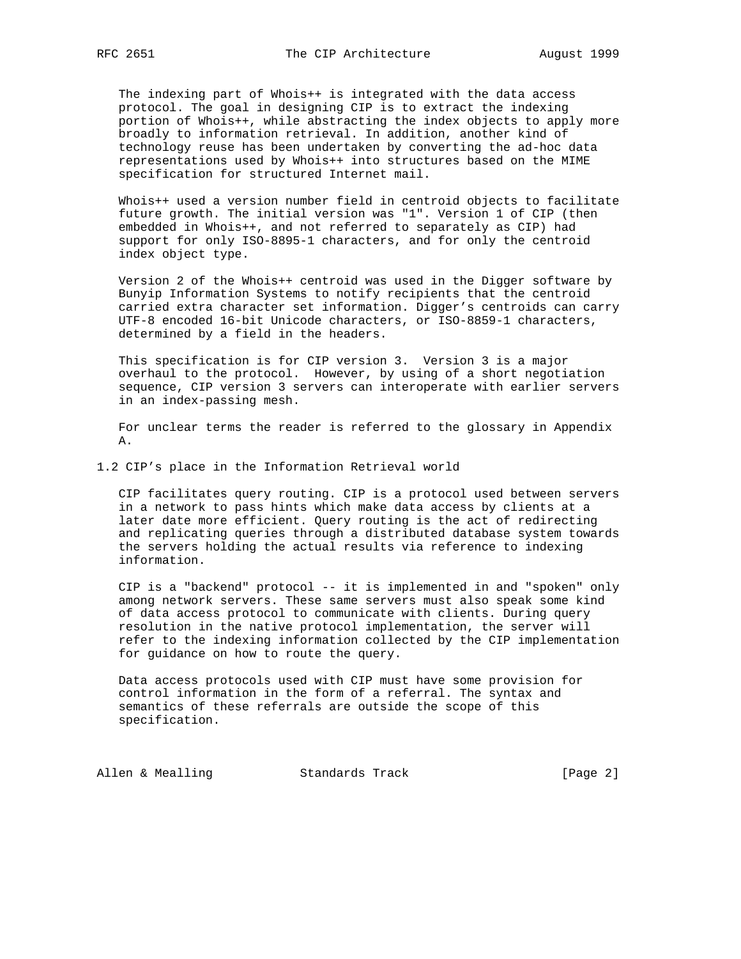The indexing part of Whois++ is integrated with the data access protocol. The goal in designing CIP is to extract the indexing portion of Whois++, while abstracting the index objects to apply more broadly to information retrieval. In addition, another kind of technology reuse has been undertaken by converting the ad-hoc data representations used by Whois++ into structures based on the MIME specification for structured Internet mail.

 Whois++ used a version number field in centroid objects to facilitate future growth. The initial version was "1". Version 1 of CIP (then embedded in Whois++, and not referred to separately as CIP) had support for only ISO-8895-1 characters, and for only the centroid index object type.

 Version 2 of the Whois++ centroid was used in the Digger software by Bunyip Information Systems to notify recipients that the centroid carried extra character set information. Digger's centroids can carry UTF-8 encoded 16-bit Unicode characters, or ISO-8859-1 characters, determined by a field in the headers.

 This specification is for CIP version 3. Version 3 is a major overhaul to the protocol. However, by using of a short negotiation sequence, CIP version 3 servers can interoperate with earlier servers in an index-passing mesh.

 For unclear terms the reader is referred to the glossary in Appendix A.

1.2 CIP's place in the Information Retrieval world

 CIP facilitates query routing. CIP is a protocol used between servers in a network to pass hints which make data access by clients at a later date more efficient. Query routing is the act of redirecting and replicating queries through a distributed database system towards the servers holding the actual results via reference to indexing information.

 CIP is a "backend" protocol -- it is implemented in and "spoken" only among network servers. These same servers must also speak some kind of data access protocol to communicate with clients. During query resolution in the native protocol implementation, the server will refer to the indexing information collected by the CIP implementation for guidance on how to route the query.

 Data access protocols used with CIP must have some provision for control information in the form of a referral. The syntax and semantics of these referrals are outside the scope of this specification.

Allen & Mealling Standards Track (Page 2)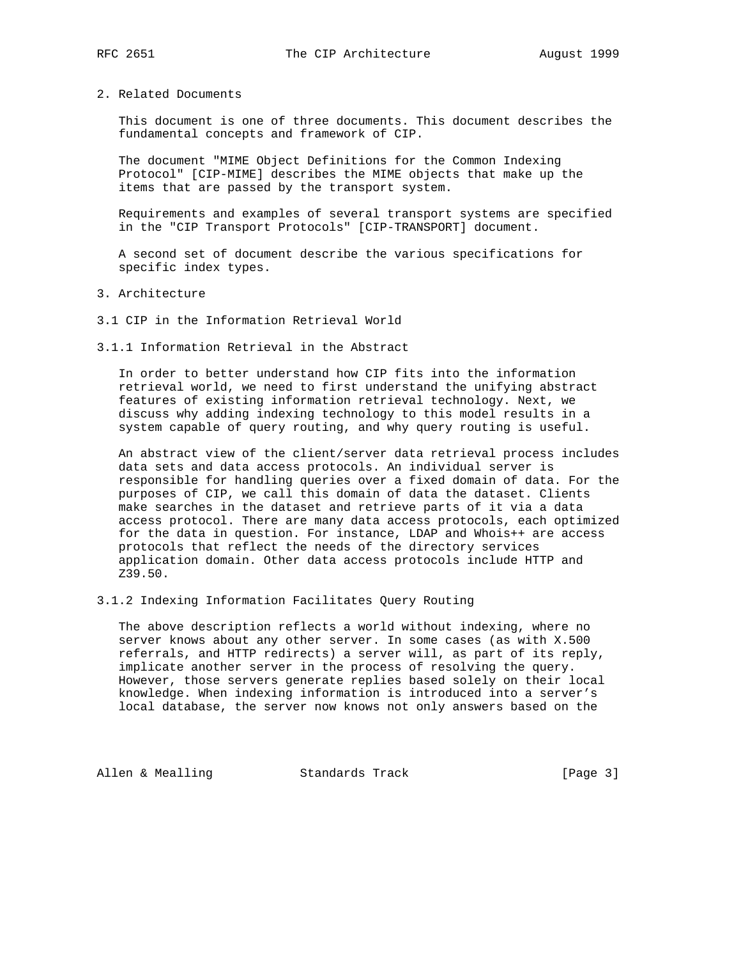2. Related Documents

 This document is one of three documents. This document describes the fundamental concepts and framework of CIP.

 The document "MIME Object Definitions for the Common Indexing Protocol" [CIP-MIME] describes the MIME objects that make up the items that are passed by the transport system.

 Requirements and examples of several transport systems are specified in the "CIP Transport Protocols" [CIP-TRANSPORT] document.

 A second set of document describe the various specifications for specific index types.

- 3. Architecture
- 3.1 CIP in the Information Retrieval World
- 3.1.1 Information Retrieval in the Abstract

 In order to better understand how CIP fits into the information retrieval world, we need to first understand the unifying abstract features of existing information retrieval technology. Next, we discuss why adding indexing technology to this model results in a system capable of query routing, and why query routing is useful.

 An abstract view of the client/server data retrieval process includes data sets and data access protocols. An individual server is responsible for handling queries over a fixed domain of data. For the purposes of CIP, we call this domain of data the dataset. Clients make searches in the dataset and retrieve parts of it via a data access protocol. There are many data access protocols, each optimized for the data in question. For instance, LDAP and Whois++ are access protocols that reflect the needs of the directory services application domain. Other data access protocols include HTTP and Z39.50.

3.1.2 Indexing Information Facilitates Query Routing

 The above description reflects a world without indexing, where no server knows about any other server. In some cases (as with X.500 referrals, and HTTP redirects) a server will, as part of its reply, implicate another server in the process of resolving the query. However, those servers generate replies based solely on their local knowledge. When indexing information is introduced into a server's local database, the server now knows not only answers based on the

Allen & Mealling Standards Track [Page 3]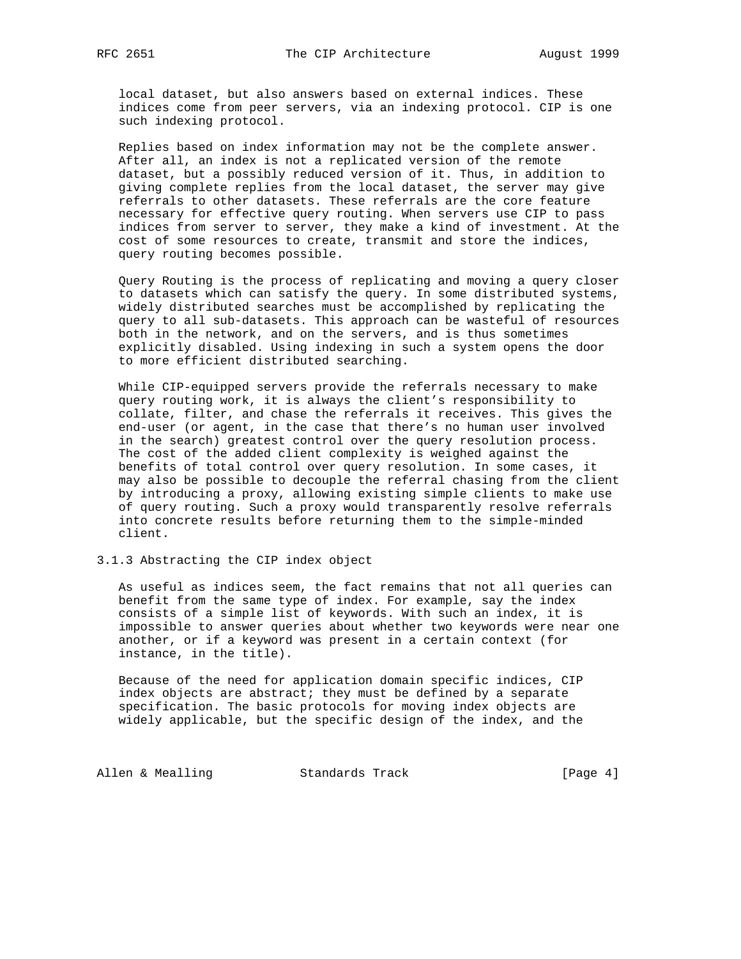local dataset, but also answers based on external indices. These indices come from peer servers, via an indexing protocol. CIP is one such indexing protocol.

 Replies based on index information may not be the complete answer. After all, an index is not a replicated version of the remote dataset, but a possibly reduced version of it. Thus, in addition to giving complete replies from the local dataset, the server may give referrals to other datasets. These referrals are the core feature necessary for effective query routing. When servers use CIP to pass indices from server to server, they make a kind of investment. At the cost of some resources to create, transmit and store the indices, query routing becomes possible.

 Query Routing is the process of replicating and moving a query closer to datasets which can satisfy the query. In some distributed systems, widely distributed searches must be accomplished by replicating the query to all sub-datasets. This approach can be wasteful of resources both in the network, and on the servers, and is thus sometimes explicitly disabled. Using indexing in such a system opens the door to more efficient distributed searching.

 While CIP-equipped servers provide the referrals necessary to make query routing work, it is always the client's responsibility to collate, filter, and chase the referrals it receives. This gives the end-user (or agent, in the case that there's no human user involved in the search) greatest control over the query resolution process. The cost of the added client complexity is weighed against the benefits of total control over query resolution. In some cases, it may also be possible to decouple the referral chasing from the client by introducing a proxy, allowing existing simple clients to make use of query routing. Such a proxy would transparently resolve referrals into concrete results before returning them to the simple-minded client.

3.1.3 Abstracting the CIP index object

 As useful as indices seem, the fact remains that not all queries can benefit from the same type of index. For example, say the index consists of a simple list of keywords. With such an index, it is impossible to answer queries about whether two keywords were near one another, or if a keyword was present in a certain context (for instance, in the title).

 Because of the need for application domain specific indices, CIP index objects are abstract; they must be defined by a separate specification. The basic protocols for moving index objects are widely applicable, but the specific design of the index, and the

Allen & Mealling Standards Track (Page 4)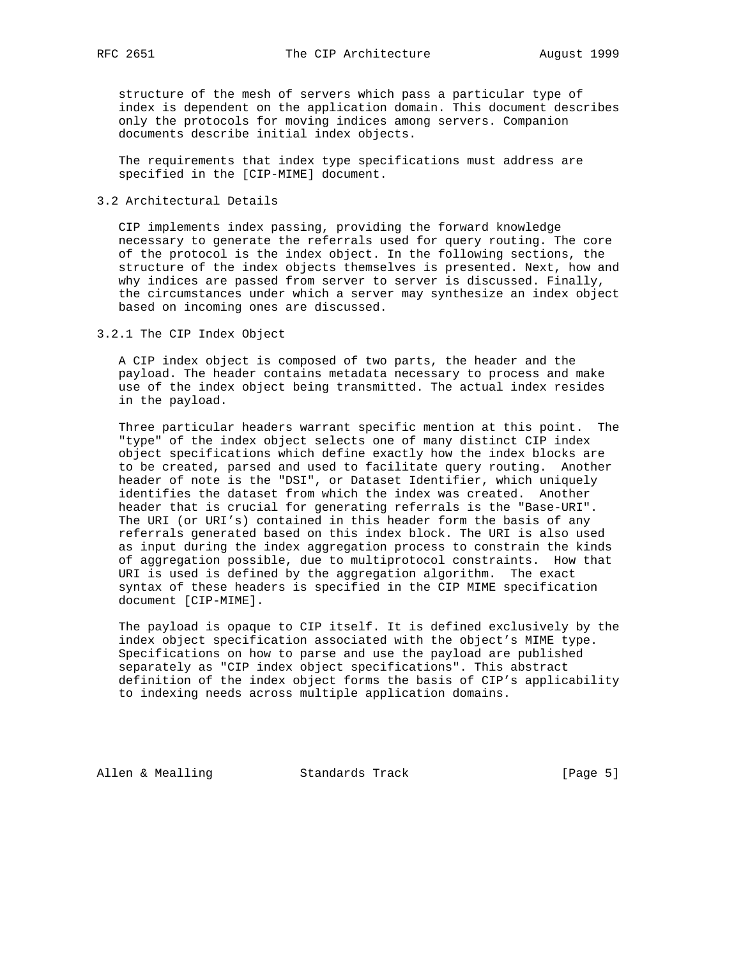structure of the mesh of servers which pass a particular type of index is dependent on the application domain. This document describes only the protocols for moving indices among servers. Companion documents describe initial index objects.

 The requirements that index type specifications must address are specified in the [CIP-MIME] document.

## 3.2 Architectural Details

 CIP implements index passing, providing the forward knowledge necessary to generate the referrals used for query routing. The core of the protocol is the index object. In the following sections, the structure of the index objects themselves is presented. Next, how and why indices are passed from server to server is discussed. Finally, the circumstances under which a server may synthesize an index object based on incoming ones are discussed.

3.2.1 The CIP Index Object

 A CIP index object is composed of two parts, the header and the payload. The header contains metadata necessary to process and make use of the index object being transmitted. The actual index resides in the payload.

 Three particular headers warrant specific mention at this point. The "type" of the index object selects one of many distinct CIP index object specifications which define exactly how the index blocks are to be created, parsed and used to facilitate query routing. Another header of note is the "DSI", or Dataset Identifier, which uniquely identifies the dataset from which the index was created. Another header that is crucial for generating referrals is the "Base-URI". The URI (or URI's) contained in this header form the basis of any referrals generated based on this index block. The URI is also used as input during the index aggregation process to constrain the kinds of aggregation possible, due to multiprotocol constraints. How that URI is used is defined by the aggregation algorithm. The exact syntax of these headers is specified in the CIP MIME specification document [CIP-MIME].

 The payload is opaque to CIP itself. It is defined exclusively by the index object specification associated with the object's MIME type. Specifications on how to parse and use the payload are published separately as "CIP index object specifications". This abstract definition of the index object forms the basis of CIP's applicability to indexing needs across multiple application domains.

Allen & Mealling Standards Track (Page 5)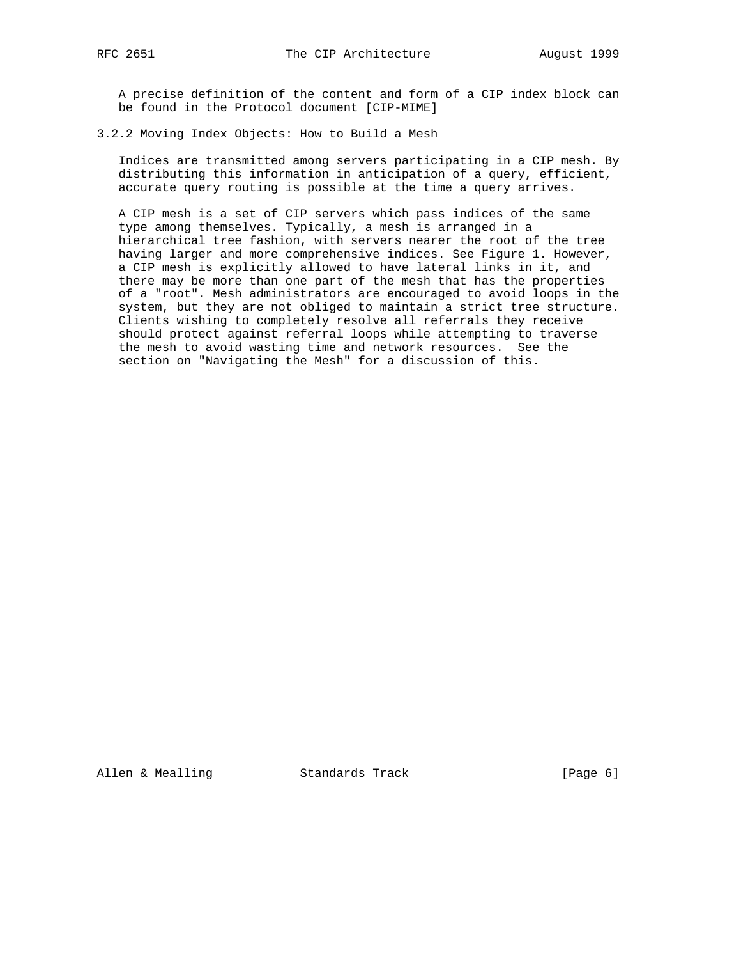A precise definition of the content and form of a CIP index block can be found in the Protocol document [CIP-MIME]

## 3.2.2 Moving Index Objects: How to Build a Mesh

 Indices are transmitted among servers participating in a CIP mesh. By distributing this information in anticipation of a query, efficient, accurate query routing is possible at the time a query arrives.

 A CIP mesh is a set of CIP servers which pass indices of the same type among themselves. Typically, a mesh is arranged in a hierarchical tree fashion, with servers nearer the root of the tree having larger and more comprehensive indices. See Figure 1. However, a CIP mesh is explicitly allowed to have lateral links in it, and there may be more than one part of the mesh that has the properties of a "root". Mesh administrators are encouraged to avoid loops in the system, but they are not obliged to maintain a strict tree structure. Clients wishing to completely resolve all referrals they receive should protect against referral loops while attempting to traverse the mesh to avoid wasting time and network resources. See the section on "Navigating the Mesh" for a discussion of this.

Allen & Mealling Standards Track [Page 6]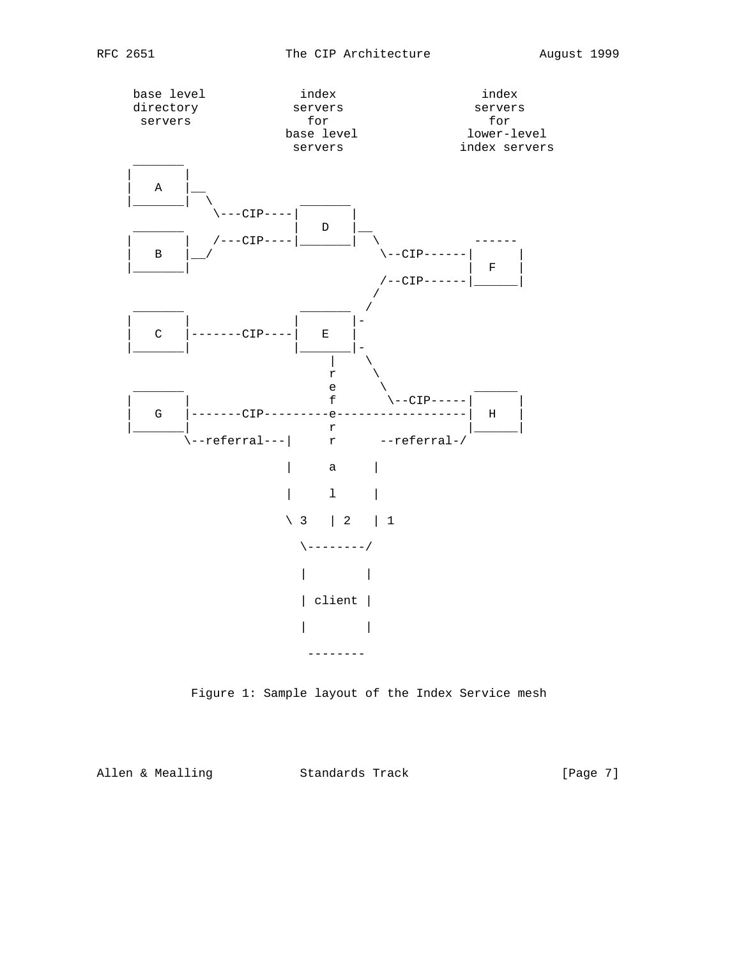

Figure 1: Sample layout of the Index Service mesh

Allen & Mealling Standards Track [Page 7]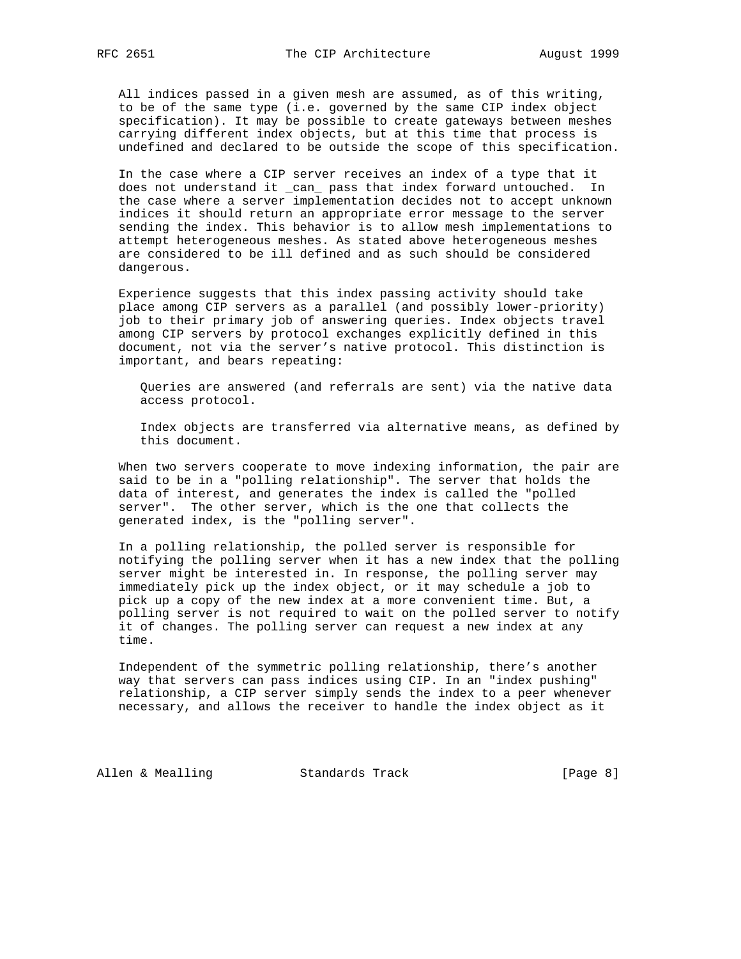All indices passed in a given mesh are assumed, as of this writing, to be of the same type (i.e. governed by the same CIP index object specification). It may be possible to create gateways between meshes carrying different index objects, but at this time that process is undefined and declared to be outside the scope of this specification.

 In the case where a CIP server receives an index of a type that it does not understand it \_can\_ pass that index forward untouched. In the case where a server implementation decides not to accept unknown indices it should return an appropriate error message to the server sending the index. This behavior is to allow mesh implementations to attempt heterogeneous meshes. As stated above heterogeneous meshes are considered to be ill defined and as such should be considered dangerous.

 Experience suggests that this index passing activity should take place among CIP servers as a parallel (and possibly lower-priority) job to their primary job of answering queries. Index objects travel among CIP servers by protocol exchanges explicitly defined in this document, not via the server's native protocol. This distinction is important, and bears repeating:

 Queries are answered (and referrals are sent) via the native data access protocol.

 Index objects are transferred via alternative means, as defined by this document.

 When two servers cooperate to move indexing information, the pair are said to be in a "polling relationship". The server that holds the data of interest, and generates the index is called the "polled server". The other server, which is the one that collects the generated index, is the "polling server".

 In a polling relationship, the polled server is responsible for notifying the polling server when it has a new index that the polling server might be interested in. In response, the polling server may immediately pick up the index object, or it may schedule a job to pick up a copy of the new index at a more convenient time. But, a polling server is not required to wait on the polled server to notify it of changes. The polling server can request a new index at any time.

 Independent of the symmetric polling relationship, there's another way that servers can pass indices using CIP. In an "index pushing" relationship, a CIP server simply sends the index to a peer whenever necessary, and allows the receiver to handle the index object as it

Allen & Mealling Standards Track (Page 8)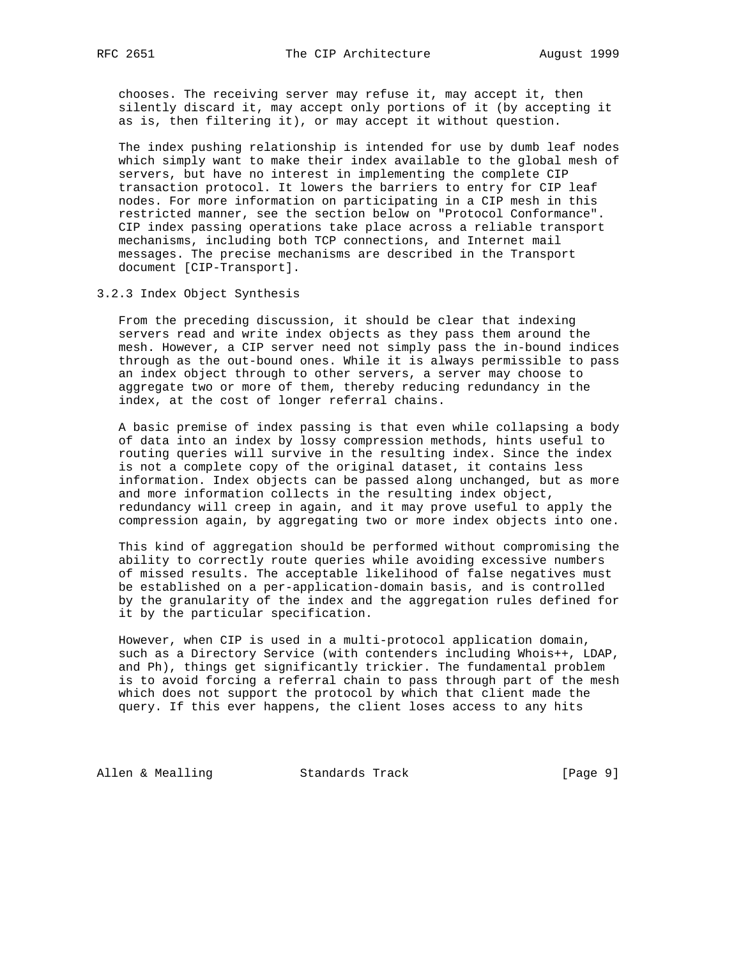chooses. The receiving server may refuse it, may accept it, then silently discard it, may accept only portions of it (by accepting it as is, then filtering it), or may accept it without question.

 The index pushing relationship is intended for use by dumb leaf nodes which simply want to make their index available to the global mesh of servers, but have no interest in implementing the complete CIP transaction protocol. It lowers the barriers to entry for CIP leaf nodes. For more information on participating in a CIP mesh in this restricted manner, see the section below on "Protocol Conformance". CIP index passing operations take place across a reliable transport mechanisms, including both TCP connections, and Internet mail messages. The precise mechanisms are described in the Transport document [CIP-Transport].

3.2.3 Index Object Synthesis

 From the preceding discussion, it should be clear that indexing servers read and write index objects as they pass them around the mesh. However, a CIP server need not simply pass the in-bound indices through as the out-bound ones. While it is always permissible to pass an index object through to other servers, a server may choose to aggregate two or more of them, thereby reducing redundancy in the index, at the cost of longer referral chains.

 A basic premise of index passing is that even while collapsing a body of data into an index by lossy compression methods, hints useful to routing queries will survive in the resulting index. Since the index is not a complete copy of the original dataset, it contains less information. Index objects can be passed along unchanged, but as more and more information collects in the resulting index object, redundancy will creep in again, and it may prove useful to apply the compression again, by aggregating two or more index objects into one.

 This kind of aggregation should be performed without compromising the ability to correctly route queries while avoiding excessive numbers of missed results. The acceptable likelihood of false negatives must be established on a per-application-domain basis, and is controlled by the granularity of the index and the aggregation rules defined for it by the particular specification.

 However, when CIP is used in a multi-protocol application domain, such as a Directory Service (with contenders including Whois++, LDAP, and Ph), things get significantly trickier. The fundamental problem is to avoid forcing a referral chain to pass through part of the mesh which does not support the protocol by which that client made the query. If this ever happens, the client loses access to any hits

Allen & Mealling Standards Track (Page 9)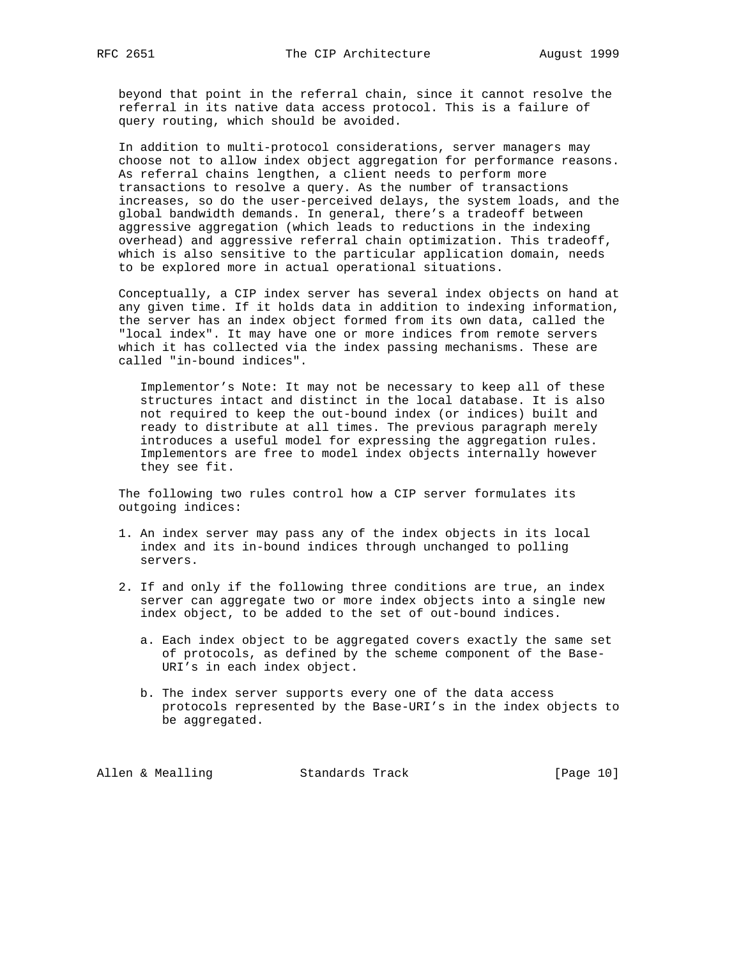beyond that point in the referral chain, since it cannot resolve the referral in its native data access protocol. This is a failure of query routing, which should be avoided.

 In addition to multi-protocol considerations, server managers may choose not to allow index object aggregation for performance reasons. As referral chains lengthen, a client needs to perform more transactions to resolve a query. As the number of transactions increases, so do the user-perceived delays, the system loads, and the global bandwidth demands. In general, there's a tradeoff between aggressive aggregation (which leads to reductions in the indexing overhead) and aggressive referral chain optimization. This tradeoff, which is also sensitive to the particular application domain, needs to be explored more in actual operational situations.

 Conceptually, a CIP index server has several index objects on hand at any given time. If it holds data in addition to indexing information, the server has an index object formed from its own data, called the "local index". It may have one or more indices from remote servers which it has collected via the index passing mechanisms. These are called "in-bound indices".

 Implementor's Note: It may not be necessary to keep all of these structures intact and distinct in the local database. It is also not required to keep the out-bound index (or indices) built and ready to distribute at all times. The previous paragraph merely introduces a useful model for expressing the aggregation rules. Implementors are free to model index objects internally however they see fit.

 The following two rules control how a CIP server formulates its outgoing indices:

- 1. An index server may pass any of the index objects in its local index and its in-bound indices through unchanged to polling servers.
- 2. If and only if the following three conditions are true, an index server can aggregate two or more index objects into a single new index object, to be added to the set of out-bound indices.
	- a. Each index object to be aggregated covers exactly the same set of protocols, as defined by the scheme component of the Base- URI's in each index object.
	- b. The index server supports every one of the data access protocols represented by the Base-URI's in the index objects to be aggregated.

Allen & Mealling Standards Track [Page 10]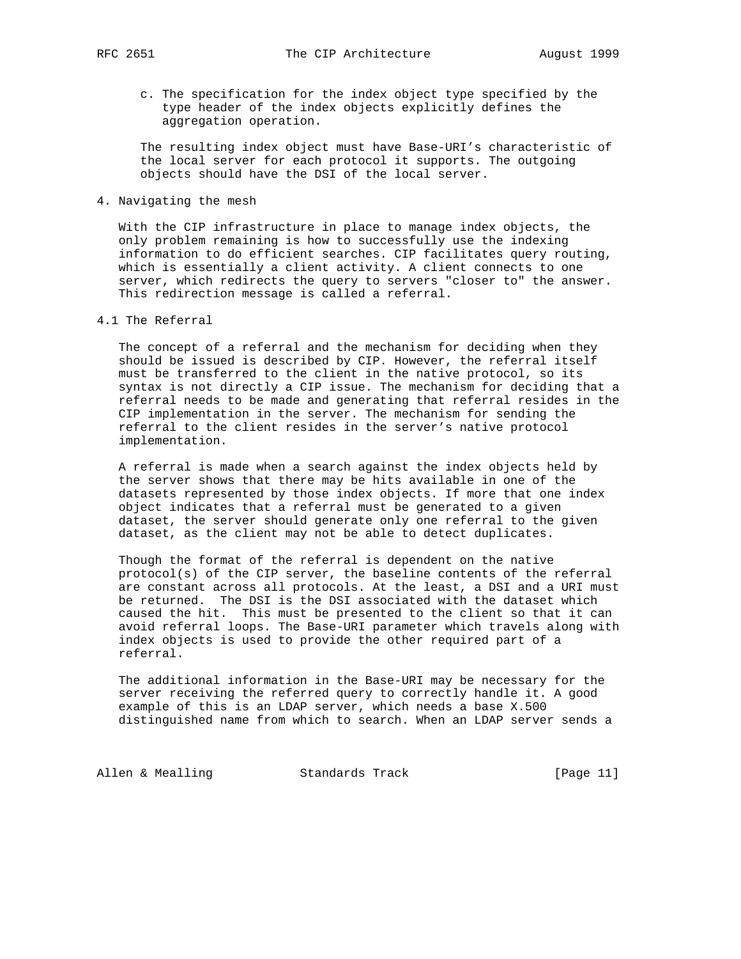c. The specification for the index object type specified by the type header of the index objects explicitly defines the aggregation operation.

 The resulting index object must have Base-URI's characteristic of the local server for each protocol it supports. The outgoing objects should have the DSI of the local server.

## 4. Navigating the mesh

 With the CIP infrastructure in place to manage index objects, the only problem remaining is how to successfully use the indexing information to do efficient searches. CIP facilitates query routing, which is essentially a client activity. A client connects to one server, which redirects the query to servers "closer to" the answer. This redirection message is called a referral.

#### 4.1 The Referral

 The concept of a referral and the mechanism for deciding when they should be issued is described by CIP. However, the referral itself must be transferred to the client in the native protocol, so its syntax is not directly a CIP issue. The mechanism for deciding that a referral needs to be made and generating that referral resides in the CIP implementation in the server. The mechanism for sending the referral to the client resides in the server's native protocol implementation.

 A referral is made when a search against the index objects held by the server shows that there may be hits available in one of the datasets represented by those index objects. If more that one index object indicates that a referral must be generated to a given dataset, the server should generate only one referral to the given dataset, as the client may not be able to detect duplicates.

 Though the format of the referral is dependent on the native protocol(s) of the CIP server, the baseline contents of the referral are constant across all protocols. At the least, a DSI and a URI must be returned. The DSI is the DSI associated with the dataset which caused the hit. This must be presented to the client so that it can avoid referral loops. The Base-URI parameter which travels along with index objects is used to provide the other required part of a referral.

 The additional information in the Base-URI may be necessary for the server receiving the referred query to correctly handle it. A good example of this is an LDAP server, which needs a base X.500 distinguished name from which to search. When an LDAP server sends a

Allen & Mealling Standards Track [Page 11]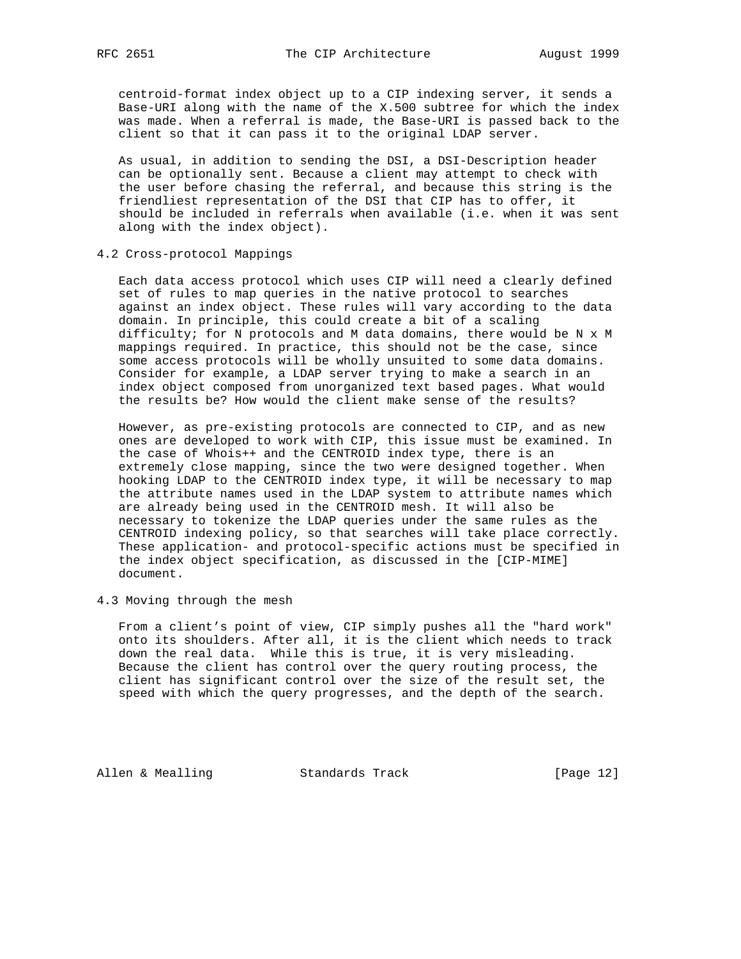centroid-format index object up to a CIP indexing server, it sends a Base-URI along with the name of the X.500 subtree for which the index was made. When a referral is made, the Base-URI is passed back to the client so that it can pass it to the original LDAP server.

 As usual, in addition to sending the DSI, a DSI-Description header can be optionally sent. Because a client may attempt to check with the user before chasing the referral, and because this string is the friendliest representation of the DSI that CIP has to offer, it should be included in referrals when available (i.e. when it was sent along with the index object).

4.2 Cross-protocol Mappings

 Each data access protocol which uses CIP will need a clearly defined set of rules to map queries in the native protocol to searches against an index object. These rules will vary according to the data domain. In principle, this could create a bit of a scaling difficulty; for N protocols and M data domains, there would be N x M mappings required. In practice, this should not be the case, since some access protocols will be wholly unsuited to some data domains. Consider for example, a LDAP server trying to make a search in an index object composed from unorganized text based pages. What would the results be? How would the client make sense of the results?

 However, as pre-existing protocols are connected to CIP, and as new ones are developed to work with CIP, this issue must be examined. In the case of Whois++ and the CENTROID index type, there is an extremely close mapping, since the two were designed together. When hooking LDAP to the CENTROID index type, it will be necessary to map the attribute names used in the LDAP system to attribute names which are already being used in the CENTROID mesh. It will also be necessary to tokenize the LDAP queries under the same rules as the CENTROID indexing policy, so that searches will take place correctly. These application- and protocol-specific actions must be specified in the index object specification, as discussed in the [CIP-MIME] document.

4.3 Moving through the mesh

 From a client's point of view, CIP simply pushes all the "hard work" onto its shoulders. After all, it is the client which needs to track down the real data. While this is true, it is very misleading. Because the client has control over the query routing process, the client has significant control over the size of the result set, the speed with which the query progresses, and the depth of the search.

Allen & Mealling Standards Track [Page 12]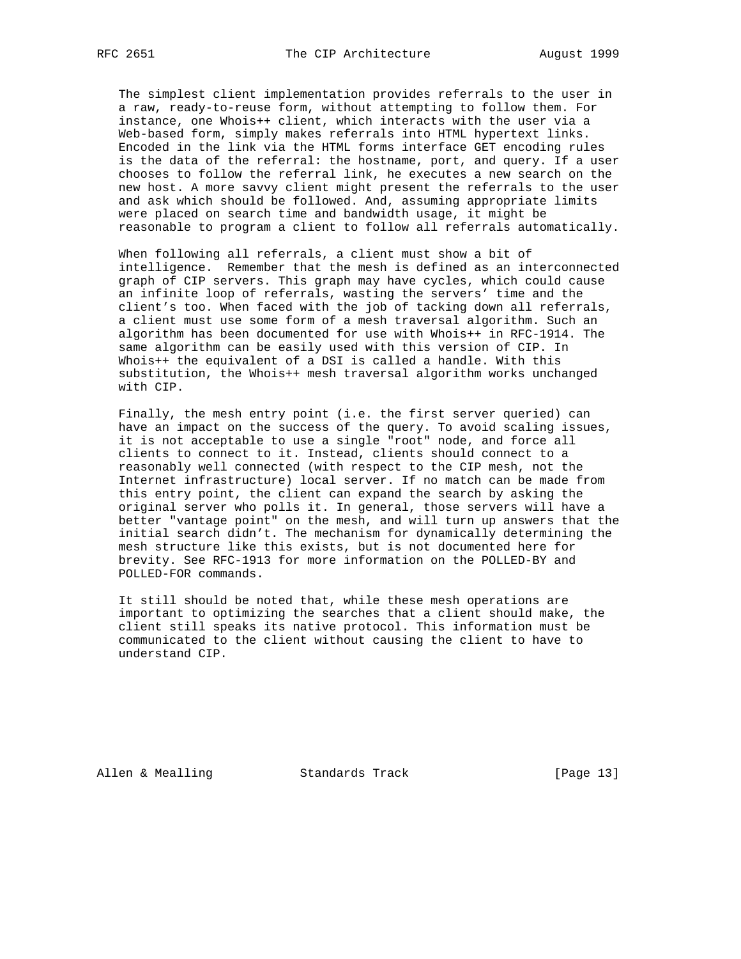The simplest client implementation provides referrals to the user in a raw, ready-to-reuse form, without attempting to follow them. For instance, one Whois++ client, which interacts with the user via a Web-based form, simply makes referrals into HTML hypertext links. Encoded in the link via the HTML forms interface GET encoding rules is the data of the referral: the hostname, port, and query. If a user chooses to follow the referral link, he executes a new search on the new host. A more savvy client might present the referrals to the user and ask which should be followed. And, assuming appropriate limits were placed on search time and bandwidth usage, it might be reasonable to program a client to follow all referrals automatically.

 When following all referrals, a client must show a bit of intelligence. Remember that the mesh is defined as an interconnected graph of CIP servers. This graph may have cycles, which could cause an infinite loop of referrals, wasting the servers' time and the client's too. When faced with the job of tacking down all referrals, a client must use some form of a mesh traversal algorithm. Such an algorithm has been documented for use with Whois++ in RFC-1914. The same algorithm can be easily used with this version of CIP. In Whois++ the equivalent of a DSI is called a handle. With this substitution, the Whois++ mesh traversal algorithm works unchanged with CIP.

 Finally, the mesh entry point (i.e. the first server queried) can have an impact on the success of the query. To avoid scaling issues, it is not acceptable to use a single "root" node, and force all clients to connect to it. Instead, clients should connect to a reasonably well connected (with respect to the CIP mesh, not the Internet infrastructure) local server. If no match can be made from this entry point, the client can expand the search by asking the original server who polls it. In general, those servers will have a better "vantage point" on the mesh, and will turn up answers that the initial search didn't. The mechanism for dynamically determining the mesh structure like this exists, but is not documented here for brevity. See RFC-1913 for more information on the POLLED-BY and POLLED-FOR commands.

 It still should be noted that, while these mesh operations are important to optimizing the searches that a client should make, the client still speaks its native protocol. This information must be communicated to the client without causing the client to have to understand CIP.

Allen & Mealling Standards Track [Page 13]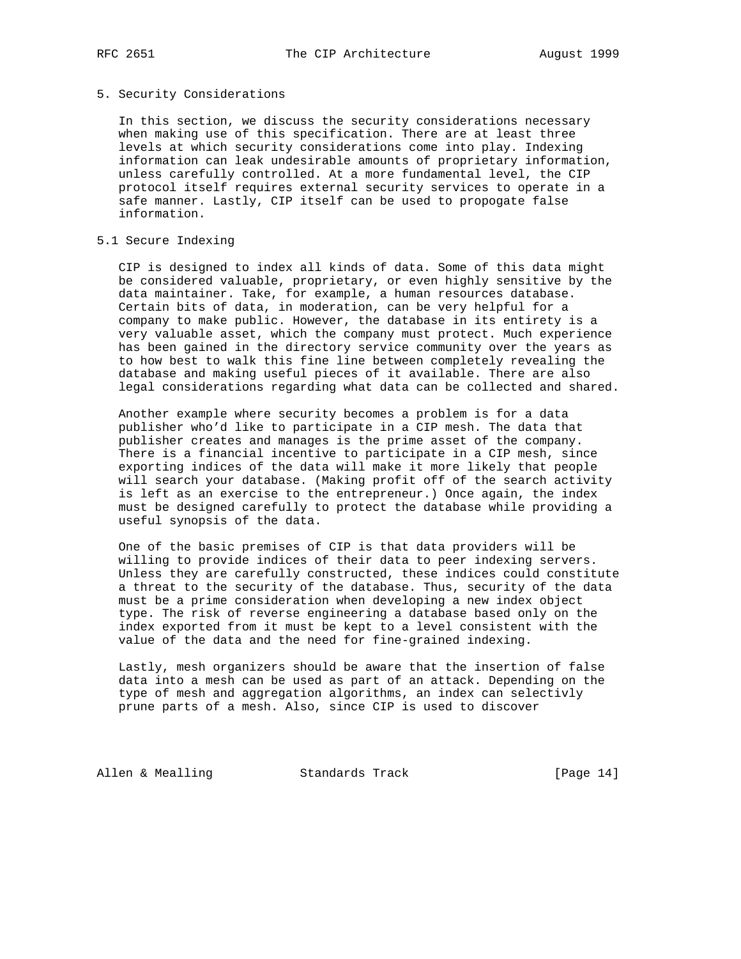# 5. Security Considerations

 In this section, we discuss the security considerations necessary when making use of this specification. There are at least three levels at which security considerations come into play. Indexing information can leak undesirable amounts of proprietary information, unless carefully controlled. At a more fundamental level, the CIP protocol itself requires external security services to operate in a safe manner. Lastly, CIP itself can be used to propogate false information.

# 5.1 Secure Indexing

 CIP is designed to index all kinds of data. Some of this data might be considered valuable, proprietary, or even highly sensitive by the data maintainer. Take, for example, a human resources database. Certain bits of data, in moderation, can be very helpful for a company to make public. However, the database in its entirety is a very valuable asset, which the company must protect. Much experience has been gained in the directory service community over the years as to how best to walk this fine line between completely revealing the database and making useful pieces of it available. There are also legal considerations regarding what data can be collected and shared.

 Another example where security becomes a problem is for a data publisher who'd like to participate in a CIP mesh. The data that publisher creates and manages is the prime asset of the company. There is a financial incentive to participate in a CIP mesh, since exporting indices of the data will make it more likely that people will search your database. (Making profit off of the search activity is left as an exercise to the entrepreneur.) Once again, the index must be designed carefully to protect the database while providing a useful synopsis of the data.

 One of the basic premises of CIP is that data providers will be willing to provide indices of their data to peer indexing servers. Unless they are carefully constructed, these indices could constitute a threat to the security of the database. Thus, security of the data must be a prime consideration when developing a new index object type. The risk of reverse engineering a database based only on the index exported from it must be kept to a level consistent with the value of the data and the need for fine-grained indexing.

 Lastly, mesh organizers should be aware that the insertion of false data into a mesh can be used as part of an attack. Depending on the type of mesh and aggregation algorithms, an index can selectivly prune parts of a mesh. Also, since CIP is used to discover

Allen & Mealling Standards Track [Page 14]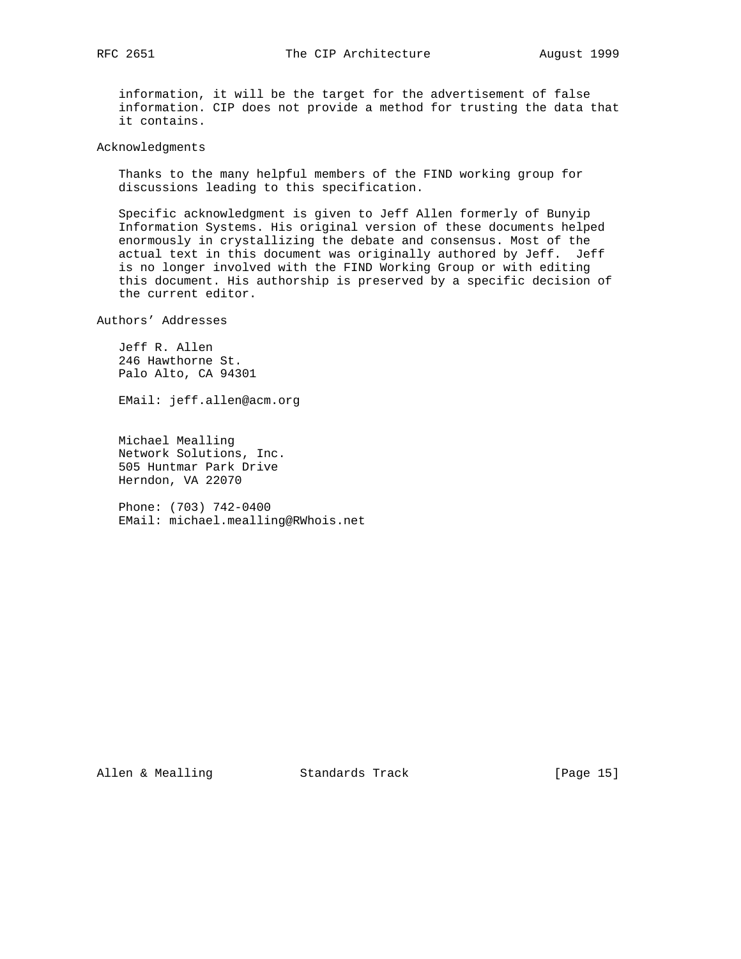information, it will be the target for the advertisement of false information. CIP does not provide a method for trusting the data that it contains.

Acknowledgments

 Thanks to the many helpful members of the FIND working group for discussions leading to this specification.

 Specific acknowledgment is given to Jeff Allen formerly of Bunyip Information Systems. His original version of these documents helped enormously in crystallizing the debate and consensus. Most of the actual text in this document was originally authored by Jeff. Jeff is no longer involved with the FIND Working Group or with editing this document. His authorship is preserved by a specific decision of the current editor.

Authors' Addresses

 Jeff R. Allen 246 Hawthorne St. Palo Alto, CA 94301

EMail: jeff.allen@acm.org

 Michael Mealling Network Solutions, Inc. 505 Huntmar Park Drive Herndon, VA 22070

 Phone: (703) 742-0400 EMail: michael.mealling@RWhois.net

Allen & Mealling Standards Track [Page 15]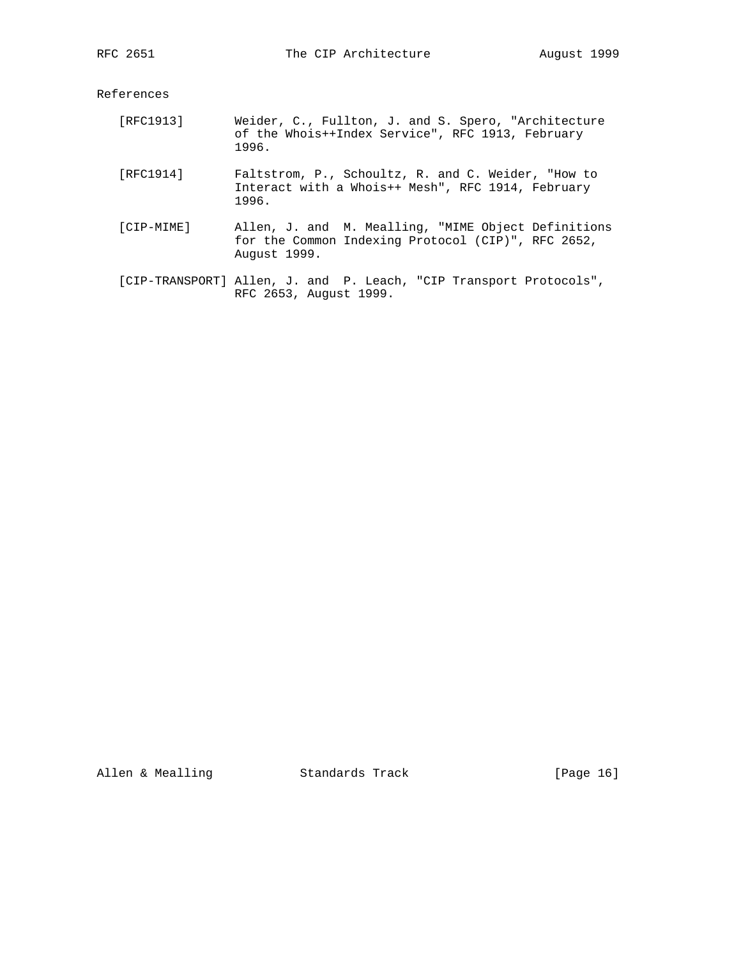References

- [RFC1913] Weider, C., Fullton, J. and S. Spero, "Architecture of the Whois++Index Service", RFC 1913, February 1996.
- [RFC1914] Faltstrom, P., Schoultz, R. and C. Weider, "How to Interact with a Whois++ Mesh", RFC 1914, February 1996.
- [CIP-MIME] Allen, J. and M. Mealling, "MIME Object Definitions for the Common Indexing Protocol (CIP)", RFC 2652, August 1999.
- [CIP-TRANSPORT] Allen, J. and P. Leach, "CIP Transport Protocols", RFC 2653, August 1999.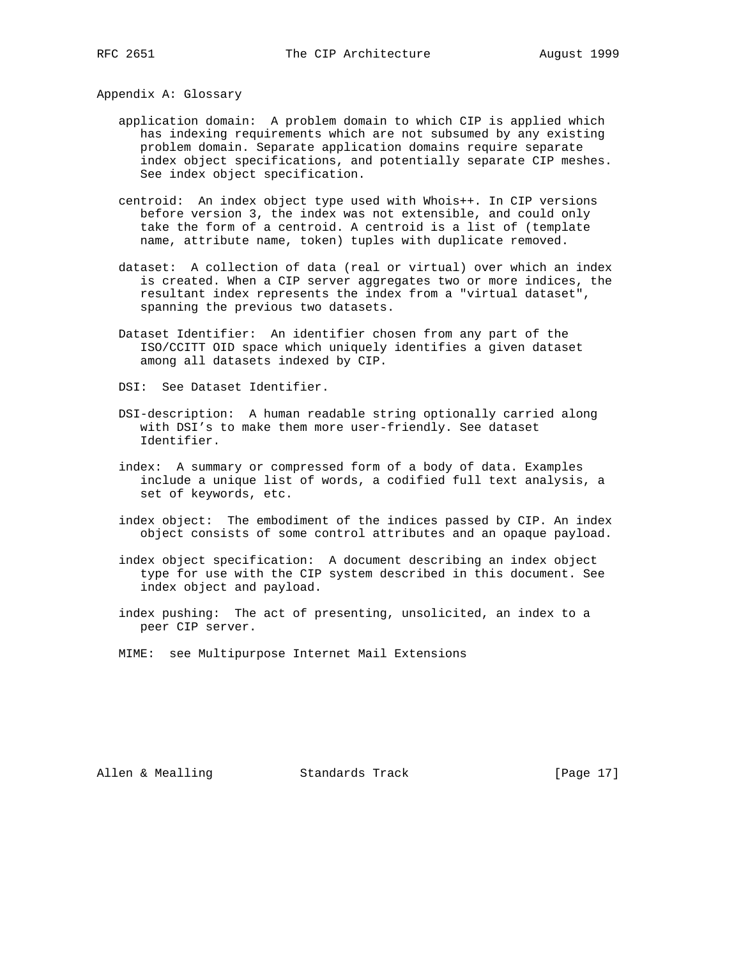Appendix A: Glossary

- application domain: A problem domain to which CIP is applied which has indexing requirements which are not subsumed by any existing problem domain. Separate application domains require separate index object specifications, and potentially separate CIP meshes. See index object specification.
- centroid: An index object type used with Whois++. In CIP versions before version 3, the index was not extensible, and could only take the form of a centroid. A centroid is a list of (template name, attribute name, token) tuples with duplicate removed.
- dataset: A collection of data (real or virtual) over which an index is created. When a CIP server aggregates two or more indices, the resultant index represents the index from a "virtual dataset", spanning the previous two datasets.
- Dataset Identifier: An identifier chosen from any part of the ISO/CCITT OID space which uniquely identifies a given dataset among all datasets indexed by CIP.
- DSI: See Dataset Identifier.
- DSI-description: A human readable string optionally carried along with DSI's to make them more user-friendly. See dataset Identifier.
- index: A summary or compressed form of a body of data. Examples include a unique list of words, a codified full text analysis, a set of keywords, etc.
- index object: The embodiment of the indices passed by CIP. An index object consists of some control attributes and an opaque payload.
- index object specification: A document describing an index object type for use with the CIP system described in this document. See index object and payload.
- index pushing: The act of presenting, unsolicited, an index to a peer CIP server.
- MIME: see Multipurpose Internet Mail Extensions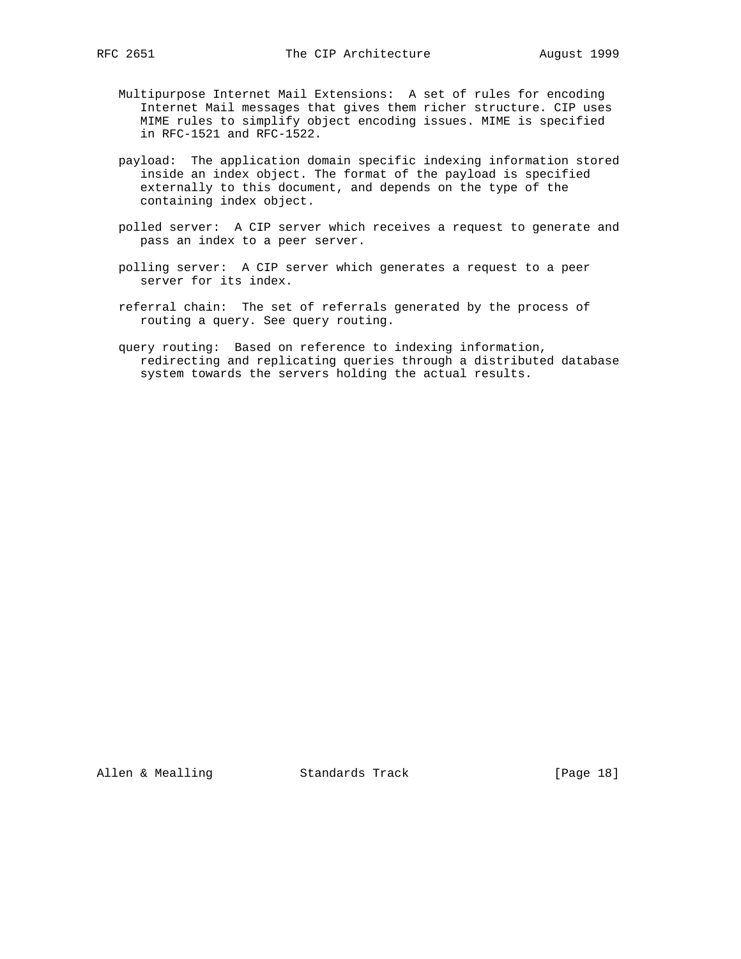- Multipurpose Internet Mail Extensions: A set of rules for encoding Internet Mail messages that gives them richer structure. CIP uses MIME rules to simplify object encoding issues. MIME is specified in RFC-1521 and RFC-1522.
- payload: The application domain specific indexing information stored inside an index object. The format of the payload is specified externally to this document, and depends on the type of the containing index object.
- polled server: A CIP server which receives a request to generate and pass an index to a peer server.
- polling server: A CIP server which generates a request to a peer server for its index.
- referral chain: The set of referrals generated by the process of routing a query. See query routing.
- query routing: Based on reference to indexing information, redirecting and replicating queries through a distributed database system towards the servers holding the actual results.

Allen & Mealling Standards Track [Page 18]